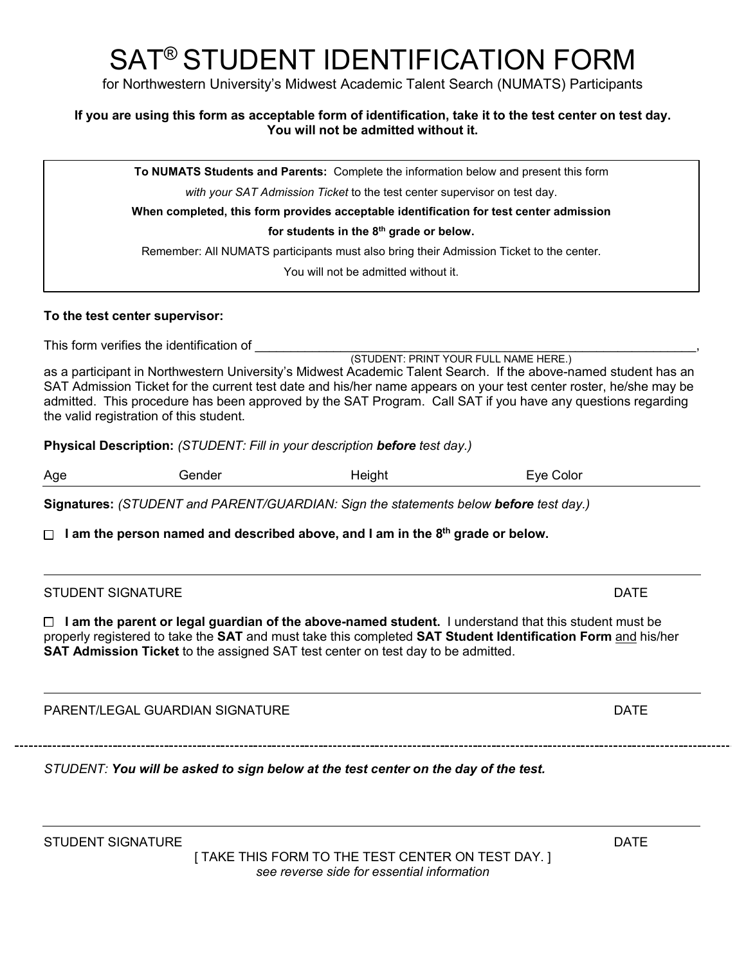# SAT® STUDENT IDENTIFICATION FORM

for Northwestern University's Midwest Academic Talent Search (NUMATS) Participants

## **If you are using this form as acceptable form of identification, take it to the test center on test day. You will not be admitted without it.**

**To NUMATS Students and Parents:** Complete the information below and present this form

*with your SAT Admission Ticket* to the test center supervisor on test day.

**When completed, this form provides acceptable identification for test center admission**

**for students in the 8th grade or below.**

Remember: All NUMATS participants must also bring their Admission Ticket to the center.

You will not be admitted without it.

## **To the test center supervisor:**

This form verifies the identification of

(STUDENT: PRINT YOUR FULL NAME HERE.) as a participant in Northwestern University's Midwest Academic Talent Search. If the above-named student has an SAT Admission Ticket for the current test date and his/her name appears on your test center roster, he/she may be admitted. This procedure has been approved by the SAT Program. Call SAT if you have any questions regarding the valid registration of this student.

**Physical Description:** *(STUDENT: Fill in your description before test day.)*

| Age<br>Height<br>Eve Color<br>Gender |  |
|--------------------------------------|--|
|--------------------------------------|--|

**Signatures:** *(STUDENT and PARENT/GUARDIAN: Sign the statements below before test day.)*

 **I am the person named and described above, and I am in the 8th grade or below.**

## STUDENT SIGNATURE **External of the STUDENT SIGNATURE**  $\blacksquare$

 **I am the parent or legal guardian of the above-named student.** I understand that this student must be properly registered to take the **SAT** and must take this completed **SAT Student Identification Form** and his/her **SAT Admission Ticket** to the assigned SAT test center on test day to be admitted.

PARENT/LEGAL GUARDIAN SIGNATURE DATE DATE DATE

*STUDENT: You will be asked to sign below at the test center on the day of the test.*

[ TAKE THIS FORM TO THE TEST CENTER ON TEST DAY. ] *see reverse side for essential information*